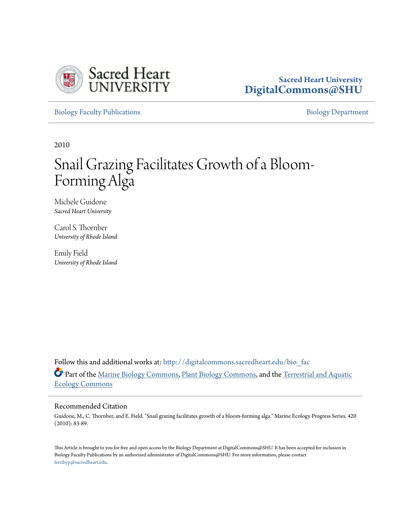

### **Sacred Heart University [DigitalCommons@SHU](http://digitalcommons.sacredheart.edu?utm_source=digitalcommons.sacredheart.edu%2Fbio_fac%2F31&utm_medium=PDF&utm_campaign=PDFCoverPages)**

[Biology Faculty Publications](http://digitalcommons.sacredheart.edu/bio_fac?utm_source=digitalcommons.sacredheart.edu%2Fbio_fac%2F31&utm_medium=PDF&utm_campaign=PDFCoverPages) **[Biology Department](http://digitalcommons.sacredheart.edu/bio?utm_source=digitalcommons.sacredheart.edu%2Fbio_fac%2F31&utm_medium=PDF&utm_campaign=PDFCoverPages)** 

2010

# Snail Grazing Facilitates Growth of a Bloom-Forming Alga

Michele Guidone *Sacred Heart University*

Carol S. Thornber *University of Rhode Island*

Emily Field *University of Rhode Island*

Follow this and additional works at: [http://digitalcommons.sacredheart.edu/bio\\_fac](http://digitalcommons.sacredheart.edu/bio_fac?utm_source=digitalcommons.sacredheart.edu%2Fbio_fac%2F31&utm_medium=PDF&utm_campaign=PDFCoverPages) Part of the [Marine Biology Commons,](https://network.bepress.com/hgg/discipline/1126?utm_source=digitalcommons.sacredheart.edu%2Fbio_fac%2F31&utm_medium=PDF&utm_campaign=PDFCoverPages) [Plant Biology Commons](https://network.bepress.com/hgg/discipline/106?utm_source=digitalcommons.sacredheart.edu%2Fbio_fac%2F31&utm_medium=PDF&utm_campaign=PDFCoverPages), and the [Terrestrial and Aquatic](https://network.bepress.com/hgg/discipline/20?utm_source=digitalcommons.sacredheart.edu%2Fbio_fac%2F31&utm_medium=PDF&utm_campaign=PDFCoverPages) [Ecology Commons](https://network.bepress.com/hgg/discipline/20?utm_source=digitalcommons.sacredheart.edu%2Fbio_fac%2F31&utm_medium=PDF&utm_campaign=PDFCoverPages)

#### Recommended Citation

Guidone, M., C. Thornber, and E. Field. "Snail grazing facilitates growth of a bloom-forming alga." Marine Ecology Progress Series. 420 (2010): 83-89.

This Article is brought to you for free and open access by the Biology Department at DigitalCommons@SHU. It has been accepted for inclusion in Biology Faculty Publications by an authorized administrator of DigitalCommons@SHU. For more information, please contact [ferribyp@sacredheart.edu](mailto:ferribyp@sacredheart.edu).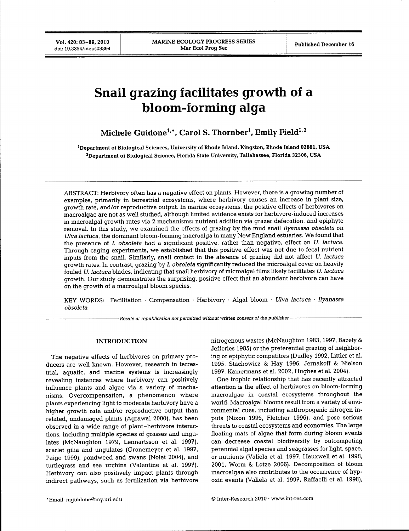**Vol. 420: 83-89, 2010** doi: 10.3354/meps08894

## **Snail grazing facilitates growth of a bloom-forming alga**

Michele Guidone<sup>1,\*</sup>, Carol S. Thornber<sup>1</sup>, Emily Field<sup>1,2</sup>

**'Department of Biological Sciences, University of Rhode Island, Kingston, Rhode Island 02881, USA ^Department of Biological Science, Florida State University, Tallahassee, Florida 32306, USA**

ABSTRACT: Herbivory often has a negative effect on plants. However, there is a growing number of examples, primarily in terrestrial ecosystems, where herbivory causes an increase in plant size, growth rate, and/or reproductive output. In marine ecosystems, the positive effects of herbivores on macroalgae are not as well studied, although limited evidence exists for herbivore-induced increases in macroalgal growth rates via 2 mechanisms; nutrient addition via grazer defecation, and epiphyte removal. In this study, we examined the effects of grazing by the mud snail *Ilyanassa obsoleta* on *Ulva lactuca,* the dominant bloom-forming macroalga in many New England estuaries. We found that the presence of *I. obsoleta* had a significant positive, rather than negative, effect on *U. lactuca*. Through caging experiments, we established that this positive effect was not due to fecal nutrient inputs from the snail. Similarly, snail contact in the absence of grazing did not affect *U. lactuca* growth rates. In contrast, grazing by *I. obsoleta* significantly reduced the microalgal cover on heavily fouled *U. lactuca* blades, indicating that snail herbivory of microalgal films likely facilitates *U. lactuca* growth. Our study demonstrates the surprising, positive effect that an abundant herbivore can have on the growth of a macroalgal bloom species.

KEY WORDS: Facilitation · Compensation · Herbivory · Algal bloom · *Ulva lactuca · Ilyanassa obsoleta*

*Resale or republication not permitted without written consent of the publisher*

#### INTRODUCTION

The negative effects of herbivores on primary producers are well known. However, research in terrestrial, aquatic, and marine systems is increasingly revealing instances where herbivory can positively influence plants and algae via a variety of mechanisms. Overcompensation, a phenomenon where plants experiencing light to moderate herbivory have a higher growth rate and/or reproductive output than related, undamaged plants (Agrawal 2000), has been observed in a wide range of plant-herbivore interactions, including multiple species of grasses and ungulates (McNaughton 1979, Lennartsson et al. 1997), scarlet gilia and ungulates (Gronemeyer et al. 1997, Paige 1999), pondweed and swans (Nolet 2004), and turtlegrass and sea urchins (Valentine et al. 1997). Herbivory can also positively impact plants through indirect pathways, such as fertilization via herbivore

nitrogenous wastes (McNaughton 1983,1997, Bazely & Jefferies 1985) or the preferential grazing of neighboring or epiphytic competitors (Dudley 1992, Littler et al. 1995, Stachowicz & Hay 1996, Jernakoff & Nielson 1997, Kamermans et al. 2002, Hughes et al. 2004).

One trophic relationship that has recently attracted attention is the effect of herbivores on bloom-forming macroalgae in coastal ecosystems throughout the world. Macroalgal blooms result from a variety of environmental cues, including anthropogenic nitrogen inputs (Nixon 1995, Fletcher 1996), and pose serious threats to coastal ecosystems and economies. The large floating mats of algae that form during bloom events can decrease coastal biodiversity by outcompeting perennial algal species and seagrasses for light, space, or nutrients (Vahela et al. 1997, Hauxwell et al. 1998, 2001, Worm & Lotze 2006). Decomposition of bloom macroalgae also contributes to the occurrence of hypoxic events (Valiela et al. 1997, RaffaeUi et al. 1998),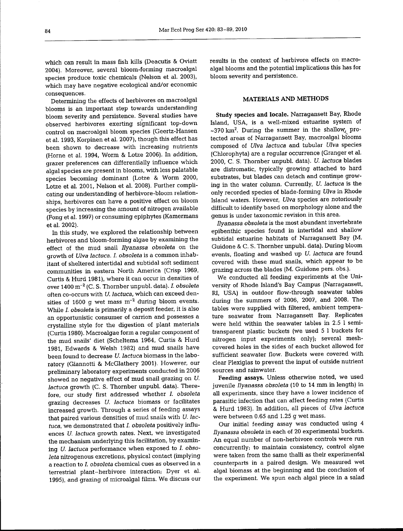which can result in mass fish kills (Deacutis & Oviatt 2004). Moreover, several bloom-forming macroalgal species produce toxic chemicals (Nelson et al. 2003), which may have negative ecological and/or economic consequences.

Determining the effects of herbivores on macroalgal blooms is an important step towards understanding bloom severity and persistence. Several studies have observed herbivores exerting significant top-down control on macroalgal bloom species (Geertz-Hansen et al. 1993, Korpinen et al. 2007), though this effect has been shown to decrease with increasing nutrients (Horne et al. 1994, Worm & Lotze 2006). In addition, grazer preferences can differentially influence which algal species are present in blooms, with less palatable species becoming dominant (Lotze & Worm 2000, Lotze et al. 2001, Nelson et al. 2008). Further complicating our understanding of herbivore-bloom relationships, herbivores can have a positive effect on bloom species by increasing the amount of nitrogen available (Fong et al. 1997) or consuming epiphytes (Kamermans et al. 2002).

In this study, we explored the relationship between herbivores and bloom-forming algae by examining the effect of the mud snail *Ilyanassa ohsoleta* on the growth of *Ulva lactuca. I. obsoleta* is a common inhabitant of sheltered intertidal and subtidal soft sediment communities in eastern North America (Crisp 1969, Curtis & Hurd 1981), where it can occur in densities of over 1400 m"^ (C. S. Thornber unpubl. data). *I. obsoleta* often co-occurs with *U. lactuca,* which can exceed densities of 1600 g wet mass  $m^{-2}$  during bloom events. While *I. obsoleta* is primarily a deposit feeder, it is also an opportunistic consumer of carrion and possesses a crystalline style for the digestion of plant materials (Curtis 1980). Macroalgae form a regular component of the mud snails' diet (Scheltema 1964, Curtis & Hurd 1981, Edwards & Welsh 1982) and mud snails have been found to decrease *U. lactuca* biomass in the laboratory (Giannotti & McGlathery 2001). However, our preliminary laboratory experiments conducted in 2006 showed no negative effect of mud snail grazing on *U. lactuca* growth (C. S. Thornber unpubl. data). Therefore, our study first addressed whether *I. obsoleta* grazing decreases *U. lactuca* biomass or facilitates increased growth. Through a series of feeding assays that paired various densities of mud snails with *U. lactuca,* we demonstrated that *I. obsoleta* positively influences *U. lactuca* growth rates. Next, we investigated the mechanism underlying this facilitation, by examining *U. lactuca* performance when exposed to *I. obsoleta* nitrogenous excretions, physical contact (implying a reaction to /. *obsoleta* chemical cues as observed in a terrestrial plant-herbivore interaction; Dyer et al. 1995), and grazing of microalgal films. We discuss our results in the context of herbivore effects on macroalgal blooms and the potential implications this has for bloom severity and persistence.

#### MATERIALS AND METHODS

Study species and locale. Narragansett Bay, Rhode Island, USA, is a well-mixed estuarine system of  $\sim$ 370 km<sup>2</sup>. During the summer in the shallow<sub>y</sub> protected areas of Narragansett Bay, macroalgal blooms composed of *Ulva lactuca* and tubular *Ulva* species (Chlorophyta) are a regular occurrence (Granger et al. 2000, C. S. Thornber unpubl. data). *U. lactuca* blades are distromatic, typically growing attached to hard substrates, but blades can detach and continue growing in the water column. Currently, *U. lactuca* is the only recorded species of blade-forming *Ulva* in Rhode Island waters. However, *Ulva* species are notoriously difficult to identify based on morphology alone and the genus is under taxonomic revision in this area.

*Ilyanassa obsoleta* is the most abundant invertebrate epibenthic species found in intertidal and shallow subtidal estuarine habitats of Narragansett Bay (M. Guidone & C. S. Thornber unpubl. data). During bloom events, floating and washed up *U. lactuca* are found covered with these mud snails, which appear to be grazing across the blades (M. Guidone pers. obs.).

We conducted all feeding experiments at the University of Rhode Island's Bay Campus (Narragansett, RI, USA) in outdoor flow-through seawater tables during the summers of 2006, 2007, and 2008. The tables were supplied with filtered, ambient temperature seawater from Narragansett Bay. Replicates were held within the seawater tables in 2.5 1 semitransparent plastic buckets (we used 5 1 buckets for nitrogen input experiments only); several meshcovered holes in the sides of each bucket allowed for sufficient seawater flow. Buckets were covered with clear Plexiglas to prevent the input of outside nutrient sources and rainwater.

Feeding assays. Unless otherwise noted, we used juvenile *Ilyanassa obsoleta* (10 to 14 mm in length) in all experiments, since they have a lower incidence of parasitic infection that can affect feeding rates (Curtis & Hurd 1983). In addition, all pieces of *Ulva lactuca* were between 0.65 and 1.25 g wet mass.

Our initial feeding assay was conducted using 4 *Ilyanassa obsoleta* in each of 20 experimental buckets. An equal number of non-herbivore controls were run concurrently; to maintain consistency, control algae were taken from the same thalli as their experimental counterparts in a paired design. We measured wet algal biomass at the beginning and the conclusion of the experiment. We spun each algal piece in a salad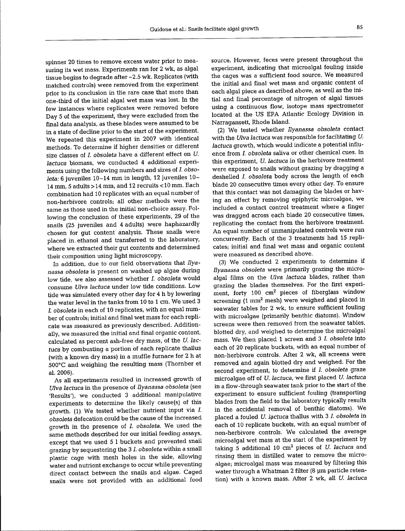spinner 20 times to remove excess water prior to measuring its wet mass. Experiments ran for 2 wk, as algal tissue begins to degrade after ~2.5 wk. Replicates (with matched controls) were removed from the experiment prior to its conclusion in the rare case that more than one-third of the initial algal wet mass was lost. In the few instances where replicates were removed before Day 5 of the experiment, they were excluded from the final data analysis, as these blades were assumed to be in a state of decline prior to the start of the experiment. We repeated this experiment in 2007 with identical methods. To determine if higher densities or different size classes of *I. obsoleta* have a different effect on *U. lactuca* biomass, we conducted 4 additional experiments using the following numbers and sizes of *I. obsoleta:* 6 juveniles 10-14 mm in length, 12 juveniles 10- 14 mm, 5 adults > 14 mm, and 12 recruits < 10 mm. Each combination had 10 replicates with an equal number of non-herbivore controls; all other methods were the same as those used in the initial non-choice assay. Following the conclusion of these experiments, 29 of the snails (25 juveniles and 4 adults) were haphazardly chosen for gut content analysis. These snails were placed in. ethanol and transferred to the laboratory, where we extracted their gut contents and determined their composition using light microscopy.

In addition, due to our field observations that *Ilyanassa obsoleta* is present on washed up algae during low tide, we also assessed whether *I. obsoleta* would consume *Ulva lactuca* under low tide conditions. Low tide was simulated every other day for 4 h by lowering the water level in the tanks from 10 to 1 cm. We used 3 *I. obsoleta* in each of 10 replicates, with an equal number of controls; initial and final wet mass for each replicate was measured as previously described. Additionally, we measured the initial and final organic content, calculated as percent ash-free dry mass, of the *U. lac*tuca by combusting a portion of each replicate thallus (with a known dry mass) in a muffle furnace for 2 h at 500°C and weighing the resulting mass (Thornber et al. 2006).

As all experiments resulted in increased growth of *Ulva lactuca* in the presence of *Ilyanassa obsoleta* (see 'Results'), we conducted 3 additional manipulative experiments to determine the likely cause(s) of this growth. (1) We tested whether nutrient input via *I. obsoleta* defecation could be the cause of the increased growth in the presence of *I. obsoleta.* We used the same methods described for our initial feeding assays, except that we used 5 1 buckets and prevented snail grazing by sequestering the 3 *I. obsoleta* within a small plastic cage with mesh holes in the side, allowing water and nutrient exchange to occur while preventing direct contact between the snails and algae. Caged snails were not provided with an additional food source. However, feces were present throughout the experiment, indicating that microalgal fouling inside the cages was a sufficient food source. We measured the initial and final wet mass and organic content of each algal piece as described above, as well as the initial and final percentage of nitrogen of algal tissues using a continuous flow, isotope mass spectrometer located at the US ERA Atlantic Ecology Division in Narragansett, Rhode Island.

(2) We tested whether *Ilyanassa obsoleta* contact with the *Ulva lactuca* was responsible for facilitating *U. lactuca* growth, which would indicate a potential influence from *I. obsoleta* saliva or other chemical cues. In this experiment, *U. lactuca* in the herbivore treatment were exposed to snails without grazing by dragging a deshelled *I. obsoleta* body across the length of each blade 20 consecutive times every other day. To ensure that this contact was not damaging the blades or having an effect by removing epiphytic microalgae, we included a contact control treatment where a finger was dragged across each blade 20 consecutive times, replicating the contact from the herbivore treatment. An equal number of unmanipulated controls were run concurrently. Each of the 3 treatments had 15 replicates; initial and final wet mass and organic content were measured as described above.

(3) We conducted 2 experiments to determine if *Ilyanassa obsoleta* were primarily grazing the microalgal films on the *Ulva lactuca* blades, rather than grazing the blades themselves. For the first experiment, forty 100 cm<sup>2</sup> pieces of fiberglass window screening  $(1 \text{ mm}^2 \text{ mesh})$  were weighed and placed in seawater tables for 2 wk, to ensure sufficient fouling with microalgae (primarily benthic diatoms). Window screens were then removed from the seawater tables, blotted dry, and weighed to determine the microalgal mass. We then placed 1 screen and 3 *I. obsoleta* into each of 20 replicate buckets, with an equal number of non-herbivore controls. After 2 wk, aU screens were removed and again blotted dry and weighed. For the second experiment, to determine if *I. obsoleta* graze microalgae off of *U. lactuca,* we first placed *U. lactuca* in a flow-through seawater tank prior to the start of the experiment to ensure sufficient fouling (transporting blades from the field to the laboratory typically results in the accidental removal of benthic diatoms). We placed a fouled *U. lactuca* thallus with 3 *I. obsoleta* in each of 10 replicate buckets, with an equal number of non-herbivore controls. We calculated the average microalgal wet mass at the start of the experiment by taking 5 additional 10 cm^ pieces of *U. lactuca* and rinsing them in distilled water to remove the microalgae; microalgal mass was measured by filtering this water through a Whatman 2 filter (8 µm particle retention) with a known mass. After 2 wk, all *U. lactuca*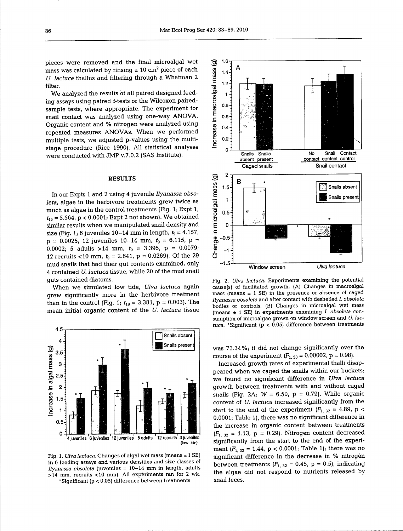pieces were removed and the final microalgal wet mass was calculated by rinsing a **10** cm^ piece of each *U. lactuca* thallus and filtering through a Whatman 2 filter.

We analyzed the results of all paired designed feeding assays using paired t-tests or the Wilcoxon pairedsample tests, where appropriate. The experiment for snail contact was analyzed using one-way ANOVA. Organic content and % nitrogen were analyzed using repeated measures ANOVAs. When we performed multiple tests, we adjusted p-values using the multistage procedure (Rice 1990). AU statistical analyses were conducted with JMP v.7.0.2 (SAS Institute).

#### RESULTS

In our Expts 1 and 2 using 4 juvenile *Ilyanassa obsoleta,* algae in the herbivore treatments grew twice as much as algae in the control treatments (Fig. 1; Expt 1,  $t_{15} = 5.564$ ,  $p < 0.0001$ ; Expt 2 not shown). We obtained similar results when we manipulated snail density and size (Fig. 1; 6 juveniles  $10-14$  mm in length,  $t_9 = 4.157$ ,  $p = 0.0025$ ; 12 juveniles 10-14 mm,  $t_9 = 6.115$ ,  $p =$ 0.0002; 5 adults >14 mm, *tg =* 3.395, p = 0.0079; 12 recruits <10 mm,  $t<sub>9</sub> = 2.641$ ,  $p = 0.0269$ ). Of the 29 mud snails that had their gut contents examined, only 4 contained *U. lactuca* tissue, while 20 of the mud snail guts contained diatoms.

When we simulated low tide, *Ulva lactuca* again grew significantly more in the herbivore treatment than in the control (Fig. 1;  $t_{19} = 3.381$ ,  $p = 0.003$ ). The mean initial organic content of the *U. lactuca* tissue



Fig. 1. *Ulva lactuca.* Changes of algal wet mass (means ± 1 SE) in 6 feeding assays and various densities and size classes of *Ilyanassa obsoleta* (juveniles = 10-14 mm in length, adults  $>14$  mm, recruits <10 mm). All experiments ran for 2 wk. •Significant (p < 0.05) difference between treatments



Fig. 2. *Ulva lactuca.* Experiments examining the potential cause(s) of facilitated growth. (A) Changes in macroalgal mass (means  $\pm$  1 SE) in the presence or absence of caged *Ilyanassa obsoleta* and after contact with deshelled *I. obsoleta* bodies or controls. (B) Changes in microalgal wet mass (means ± 1 SE) in experiments examining *I obsoleta* consumption of microalgae grown on window screen and *U. lac*tuca. 'Significant ( $p < 0.05$ ) difference between treatments

was 73.34%; it did not change significantly over the course of the experiment  $(F_{1, 38} = 0.00002, p = 0.98)$ .

Increased growth rates of experimental thalli disappeared when we caged the snails within our buckets; we found no significant difference in *Ulva lactuca* growth between treatments with and without caged snails (Fig. 2A;  $W = 6.50$ ,  $p = 0.79$ ). While organic content of *U. lactuca* increased significantly from the start to the end of the experiment  $(F_{1, 32} = 4.89, p <$ 0.0001; Table 1), there was no significant difference in the increase in organic content between treatments  $(F_1, 32 = 1.13, p = 0.29)$ . Nitrogen content decreased significantly from the start to the end of the experiment  $(F_{1, 32} = 1.44, p < 0.0001$ ; Table 1); there was no significant difference in the decrease in % nitrogen between treatments  $(F_{1, 32} = 0.45, p = 0.5)$ , indicating the algae did not respond to nutrients released by snail feces.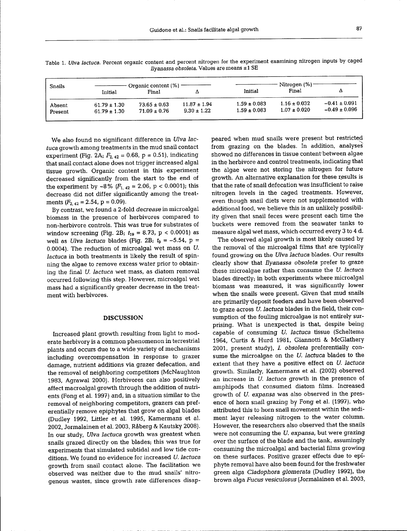| Snails  | Organic content $(\%)$ —<br>Final<br>Initial |                  |                  | Nitrogen (%)<br>Final<br>Initial<br>Δ |                  |                   |
|---------|----------------------------------------------|------------------|------------------|---------------------------------------|------------------|-------------------|
| Absent  | $61.79 \pm 1.30$                             | $73.65 \pm 0.63$ | $11.87 \pm 1.94$ | $1.59 \pm 0.083$                      | $1.16 \pm 0.032$ | $-0.41 \pm 0.091$ |
| Present | $61.79 \pm 1.30$                             | $71.09 \pm 0.76$ | $9.30 \pm 1.22$  | $1.59 \pm 0.083$                      | $1.07 \pm 0.020$ | $-0.49 \pm 0.096$ |

Table 1. *Ulva lactuca.* Percent organic content and percent nitrogen for the experiment examining nitrogen inputs by caged *Ilyanassa obsoleta.* Values are means ± 1 SE

We also found no significant difference in *Ulva lactuca* growth among treatments in the mud snail contact experiment (Fig. 2A;  $F_{2,42} = 0.68$ , p = 0.51), indicating that snail contact alone does not trigger increased algal tissue growth. Organic content in this experiment decreased significantly from the start to the end of the experiment by  $\sim 8\%$  ( $F_{1,42} = 2.06$ , p < 0.0001); this decrease did not differ significantly among the treatments  $(F_{2,42} = 2.54, p = 0.09)$ .

By contrast, we found a 2-fold *decrease* in microalgal biomass in the presence of herbivores compared to non-herbivore controls. This was true for substrates of window screening (Fig. 2B;  $t_{19} = 8.73$ , p < 0.0001) as well as *Ulva lactuca* blades (Fig. 2B;  $t_9 = -5.54$ ,  $p =$ 0.0004). The reduction of microalgal wet mass on *U. lactuca* in both treatments is likely the result of spinning the algae to remove excess water prior to obtaining the final *U. lactuca* wet mass, as diatom removal occurred following this step. Flowever, microalgal wet mass had a significantly greater decrease in the treatment with herbivores.

#### DISCUSSION

Increased plant growth resulting from light to moderate herbivory is a common phenomenon in terrestrial plants and occurs due to a wide yariety of mechanisms including overcompensation in response to grazer damage, nutrient additions via grazer defecation, and the removal of neighboring competitors (McNaughton 1983, Agrawal 2000). Herbivores can also positively affect macroalgal growth through the addition of nutrients (Fong et al. 1997) and, in a situation similar to the removal of neighboring competitors, grazers can preferentially remove epiphytes that grow on algal blades (Dudley 1992, Littler et al. 1995, Kamermans et al. 2002, Jormalainen et al. 2003, Raberg & Kautsky 2008). In our study, *Ulva lactuca* growth was greatest when snails grazed directly on the blades; this was true for experiments that simulated subtidal and low tide conditions. We found no evidence for increased *U. lactuca* growth from snail contact alone. The facihtation we observed was neither due to the mud snails' nitrogenous wastes, since growth rate differences disappeared when mud snails were present but restricted from grazing on the blades. In addition, analyses showed no differences in tissue content between algae in the herbivore and control treatments, indicating that the algae were not storing the nitrogen for future growth. An alternative explanation for these results is that the rate of snail defecation was insufficient to raise nitrogen levels in the caged treatments. However, even though snail diets were not supplemented with additional food, we believe this is an unlikely possibility given that snail feces were present each time the buckets were removed from the seawater tanks to measure algal wet mass, which occurred every 3 to 4 d.

The observed algal growth is most likely caused by the removal of the microalgal films that are typically found growing on the *Ulva lactuca* blades. Our results clearly show that *Ilyanassa obsoleta* prefer to graze these microalgae rather than consume the *U. lactuca* blades directly; in both experiments where microalgal biomass was measured, it was significantly lower when the snails were present. Given that mud snails are primarily deposit feeders and have been observed to graze across *U. lactuca* blades in the field, their consumption of the fouling microalgae is not entirely surprising. What is unexpected is that, despite being capable of consuming *U. lactuca* tissue (Scheltema 1964, Curtis & Hurd 1981, Giannotti & McGlathery 2001, present study), *I. obsoleta* preferentially consume the microalgae on the *U. lactuca* blades to the extent that they have a positive effect on *U. lactuca* growth. Similarly, Kamermans et al. (2002) observed an increase in *U. lactuca* growth in the presence of amphipods that consumed diatom films. Increased growth of *U. expansa* was also observed in the presence of horn snail grazing by Fong et al. (1997), who attributed this to horn snail movement within the sediment layer releasing nitrogen to the water column. However, the researchers also observed that the snails were not consuming the *U. expansa,* but were grazing over the surface of the blade and the tank, assumingly consuming the microalgal and bacterial films growing on these surfaces. Positive grazer effects due to epiphyte removal have also been found for the freshwater green alga *Cladophora glomerata* (Dudley 1992), the brown alga *Fucus vesiculosus* (Jormalainen et al. 2003,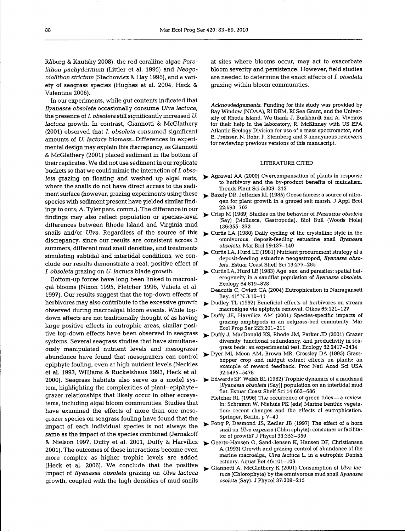Raberg & Kautsky 2008), the red coralline algae *Porolithon pachydermum* (Littler et al. 1995) and *Neogoniolithon strictum* (Stachowiez & Hay 1996), and a variety of seagrass species (Hughes et al. 2004, Heck & Valentine 2006).

In our experiments, while gut contents indicated that *Ilyanassa obsoleta* occasionally consume *Ulva lactuca,* the presence of *I. obsoleta* still significantly increased *U. lactuca* growth. In contrast, Giannotti & McGlathery (2001) observed that *I. obsoleta* consumed significant amounts of *U. lactuca* biomass.-Differences in experimental design may explain this discrepancy, as Giannotti & McGlathery (2001) placed sediment in the bottom of their replicates. We did not use sediment in our replicate buckets so that we could mimic the interaction of *I. obsoleta* grazing on floating and washed up algal mats, where the snails do not have direct access to the sediment surface (however, grazing experiments using these species with sediment present have yielded similar findings to ours; A. Tyler pers. comm.). The difference in our findings may also reflect population or species-level differences between Rhode Island and Virginia mud snails and/or *Ulva.* Regardless of the source of this discrepancy, since our results are consistent across 3 summers, different mud snail densities, and treatments simulating subtidal and intertidal conditions, we conclude our results demonstrate a real, positive effect of *I. obsoleta* grazing on *U. lactuca* blade growth.

Bottom-up forces have long been linked to macroalgal blooms (Nixon 1995, Fletcher 1996, Vahela et al. 1997). Our results suggest that the top-down effects of herbivores may also contribute to the excessive growth observed during macroalgal bloom events. While topdown effects are not traditionally thought of as having large positive effects in eutrophic areas, similar positive top-down effects have been observed in seagrass systems. Several seagrass studies that have simultaneously manipulated nutrient levels and mesograzer abundance have found that mesograzers can control epiphyte fouling, even at high nutrient levels (Neckles et al. 1993, Williams & Ruckelshaus 1993, Heck et al. tem, highlighting the complexities of plant-epiphytegrazer relationships that likely occur in other ecosystems, including algal bloom communities. Studies that have examined the effects of more than one mesograzer species on seagrass fouling have found that the impact of each individual species is not always the same as the impact of the species combined (Jernakoff & Nielson 1997, Duffy et al. 2001, Duffy & Harvilicz )► Geertz-Hansen O, Sand-Jensen K, Hansen DF, Christiansen 2001). The outcomes of these interactions become even more complex as higher trophic levels are added (Heck et al. 2006). We conclude that the positive impact of *Ilyanassa obsoleta* grazing on *Ulva lactuca* growth, coupled with the high densities of mud snails

at sites where blooms occur, may act to exacerbate bloom severity and persistence. However, field studies are needed to determine the exact effects of *I. obsoleta* grazing within bloom communities.

Acknowledgements. Funding for this study was provided by Bay Window (NOAA), RI DEM, RI Sea Grant, and the University of Rhode Island. We thank J. Burkhardt and A. Viveiros for their help in the laboratory, R. McKinney with US ERA Atlantic Ecology Division for use of a mass spectrometer, and E. Preisser, N. Rohr, P. Steinberg and 3 anonymous reviexers for reviewing previous versions of this manuscript.

#### LITERATURE CITED

- >. Agrawal AA (2000) Overcompensation of plants in response to herbivory and the by-product benefits of mutualism. Trends Plant Sci 5:309-313
- *^* Bazely DR, Jefferies RL (1985) Goose faeces; a source of nitrogen for plant growth in a grazed salt marsh. J Appl Ecol 22:693-703
- Crisp M (1969) Studies on the behavior of *Nassarius obsoleta* (Say) (Mollusca, Gastropoda). Biol Bull (Woods Hole) 136:355-373
- Curtis LA (1980) Daily cycling of the crystalline style in the omnivorous, deposit-feeding estuarine snail *Ilyanassa obsoleta.* Mar Biol 59:137-140
- ^ Curtis LA, Hurd LE (1981) Nutrient procurement strategy of a deposit-feeding estuarine neogastropod, *Ilyanassa obsoleta.* Estuar Coast Shelf Sci 13:277-285
- ^ Curtis LA, Hurd LE (1983) Age, sex, and parasites: spatial heterogeneity in a sandflat population of *Ilyanassa obsoleta.* Ecology 64:819-828
	- Deacutis C, Oviatt CA (2004) Eutrophication in Narragansett Bay. 41°N 3:10-11
- Dudley TL (1992) Beneficial effects of herbivores on stream macroalgae via epiphyte removal. Oikos 65:121-127
- > Duffy JE, Harvilicz AM (2001) Species-specific impacts of grazing amphipods in an eelgrass-bed community. Mar Ecol Prog Ser 223:201-211
- *^p^.* Duffy J, MacDonald KS, Rhode JM, Parker JD (2001) Grazer diversity, functional redundancy, and productivity in seagrass beds; an experimental test. Ecology 82:2417-2434
- Dyer MI, Moon AM, Brown MR, Crossley DA (1995) Grasshopper crop and midgut extract effects on plants: an example of reward feedback. Proc Natl Acad Sci USA 92:5475-5478
- 2000) . Seagrass habitats also serve as a model sys-Edwards SF, Welsh BL (1982) Trophic dynamics of a mudsnail *[Ilyanassa obsoleta* (Say)] population on an intertidal mud flat. Estuar Coast Shelf Sci 14:663-686
	- Fletcher RL (1996) The occurrence of green tides a review. In; Schramm W, Niehuis PK (eds) Marine benthic vegetation; recent changes and the effects of eutrophication. Springer, Berlin, p 7-43
	- Fong P, Desmond JS, Zedler JB (1997) The effect of a horn snail on *Ulva expanse* (Chlorophyta); consumer or facilitator of growth? J Phycol 33:353-359
	- A (1993) Growth and grazing control of abundance of the marine macroalga, *Ulva lactuca* L. in a eutrophic Danish estuary. Aquat Bot 46:101-109
	- Giannotti A, McGlathery K (2001) Consumption of *Ulva lactuca* (Chlorophyta) by the omnivorous mud snail *Ilyanassa osoleta* (Say). J Phycol 37:209-215